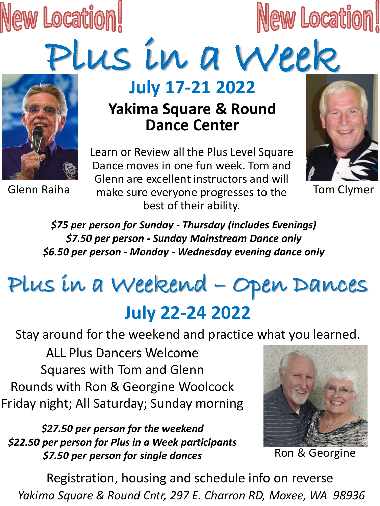# lew Location!

Plus in a Week



### **July 17-21 2022 July 17-21 2022 Yakima Square & Round Yakima Square & Round Dance Center Dance Center**

Learn or Review all the Plus Level Square Dance moves in one fun week. Tom and Glenn are excellent instructors and will Glenn Raiha and a make sure everyone progresses to the a Tom Clymer best of their ability.



**New Location!** 

*\$75 per person for Sunday - Thursday (includes Evenings) \$7.50 per person - Sunday Mainstream Dance only \$6.50 per person - Monday - Wednesday evening dance only*

## **July 22-24 2022** Plus in a Weekend – Open Dances

Stay around for the weekend and practice what you learned.

ALL Plus Dancers Welcome Squares with Tom and Glenn Rounds with Ron & Georgine Woolcock Friday night; All Saturday; Sunday morning

*\$27.50 per person for the weekend \$22.50 per person for Plus in a Week participants i*<br>57.50 per person for single dances Ron & Georgine



Registration, housing and schedule info on reverse *Yakima Square & Round Cntr, 297 E. Charron RD, Moxee, WA 98936*